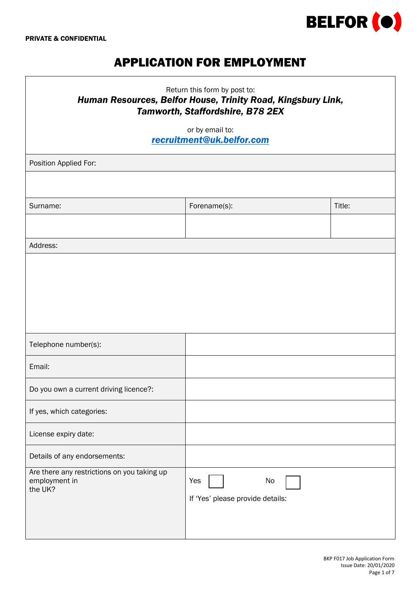

# APPLICATION FOR EMPLOYMENT

| Return this form by post to:<br>Human Resources, Belfor House, Trinity Road, Kingsbury Link,<br>Tamworth, Staffordshire, B78 2EX |                                               |        |  |  |  |
|----------------------------------------------------------------------------------------------------------------------------------|-----------------------------------------------|--------|--|--|--|
| or by email to:<br>recruitment@uk.belfor.com                                                                                     |                                               |        |  |  |  |
| Position Applied For:                                                                                                            |                                               |        |  |  |  |
|                                                                                                                                  |                                               |        |  |  |  |
| Surname:                                                                                                                         | Forename(s):                                  | Title: |  |  |  |
|                                                                                                                                  |                                               |        |  |  |  |
| Address:                                                                                                                         |                                               |        |  |  |  |
|                                                                                                                                  |                                               |        |  |  |  |
|                                                                                                                                  |                                               |        |  |  |  |
|                                                                                                                                  |                                               |        |  |  |  |
| Telephone number(s):                                                                                                             |                                               |        |  |  |  |
| Email:                                                                                                                           |                                               |        |  |  |  |
|                                                                                                                                  |                                               |        |  |  |  |
| Do you own a current driving licence?:                                                                                           |                                               |        |  |  |  |
| If yes, which categories:                                                                                                        |                                               |        |  |  |  |
| License expiry date:                                                                                                             |                                               |        |  |  |  |
| Details of any endorsements:                                                                                                     |                                               |        |  |  |  |
| Are there any restrictions on you taking up<br>employment in<br>the UK?                                                          | Yes<br>No<br>If 'Yes' please provide details: |        |  |  |  |
|                                                                                                                                  |                                               |        |  |  |  |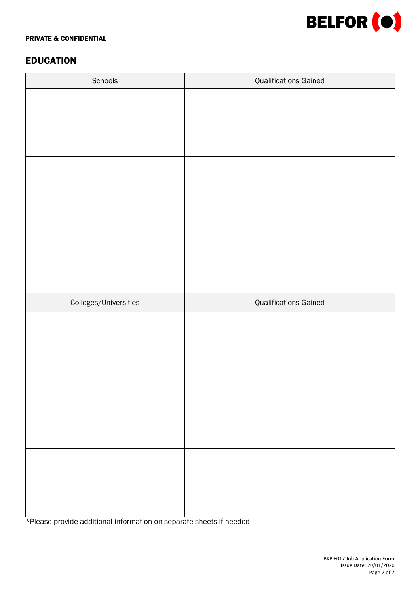

#### PRIVATE & CONFIDENTIAL

# EDUCATION

| Schools               | <b>Qualifications Gained</b> |  |  |
|-----------------------|------------------------------|--|--|
|                       |                              |  |  |
|                       |                              |  |  |
|                       |                              |  |  |
|                       |                              |  |  |
|                       |                              |  |  |
|                       |                              |  |  |
|                       |                              |  |  |
|                       |                              |  |  |
|                       |                              |  |  |
|                       |                              |  |  |
|                       |                              |  |  |
|                       |                              |  |  |
| Colleges/Universities | <b>Qualifications Gained</b> |  |  |
|                       |                              |  |  |
|                       |                              |  |  |
|                       |                              |  |  |
|                       |                              |  |  |
|                       |                              |  |  |
|                       |                              |  |  |
|                       |                              |  |  |
|                       |                              |  |  |
|                       |                              |  |  |
|                       |                              |  |  |
|                       |                              |  |  |
|                       |                              |  |  |

\*Please provide additional information on separate sheets if needed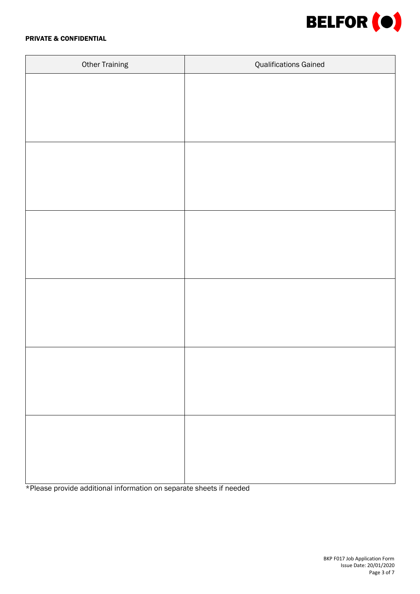

#### PRIVATE & CONFIDENTIAL

| <b>Other Training</b> | <b>Qualifications Gained</b> |  |  |
|-----------------------|------------------------------|--|--|
|                       |                              |  |  |
|                       |                              |  |  |
|                       |                              |  |  |
|                       |                              |  |  |
|                       |                              |  |  |
|                       |                              |  |  |
|                       |                              |  |  |
|                       |                              |  |  |
|                       |                              |  |  |
|                       |                              |  |  |
|                       |                              |  |  |
|                       |                              |  |  |
|                       |                              |  |  |
|                       |                              |  |  |
|                       |                              |  |  |
|                       |                              |  |  |
|                       |                              |  |  |
|                       |                              |  |  |
|                       |                              |  |  |
|                       |                              |  |  |
|                       |                              |  |  |
|                       |                              |  |  |
|                       |                              |  |  |

\*Please provide additional information on separate sheets if needed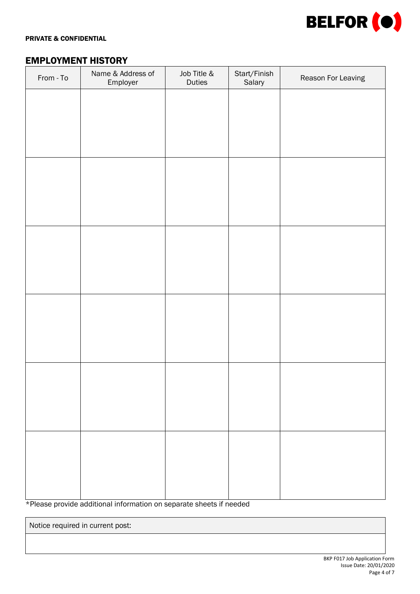

#### PRIVATE & CONFIDENTIAL

# EMPLOYMENT HISTORY

| From - To | Name & Address of<br>Employer | Job Title &<br>Duties | Start/Finish<br>Salary | Reason For Leaving |
|-----------|-------------------------------|-----------------------|------------------------|--------------------|
|           |                               |                       |                        |                    |
|           |                               |                       |                        |                    |
|           |                               |                       |                        |                    |
|           |                               |                       |                        |                    |
|           |                               |                       |                        |                    |
|           |                               |                       |                        |                    |
|           |                               |                       |                        |                    |
|           |                               |                       |                        |                    |
|           |                               |                       |                        |                    |
|           |                               |                       |                        |                    |
|           |                               |                       |                        |                    |
|           |                               |                       |                        |                    |
|           |                               |                       |                        |                    |
|           |                               |                       |                        |                    |
|           |                               |                       |                        |                    |
|           |                               |                       |                        |                    |
|           |                               |                       |                        |                    |
|           |                               |                       |                        |                    |

\*Please provide additional information on separate sheets if needed

Notice required in current post: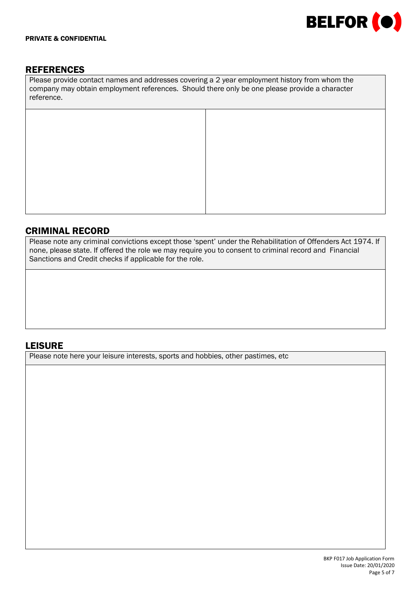

# **REFERENCES**

Please provide contact names and addresses covering a 2 year employment history from whom the company may obtain employment references. Should there only be one please provide a character reference.

### CRIMINAL RECORD

Please note any criminal convictions except those 'spent' under the Rehabilitation of Offenders Act 1974. If none, please state. If offered the role we may require you to consent to criminal record and Financial Sanctions and Credit checks if applicable for the role.

### LEISURE

Please note here your leisure interests, sports and hobbies, other pastimes, etc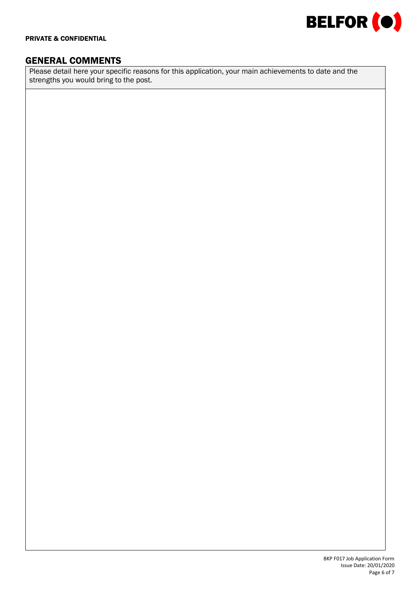

### GENERAL COMMENTS

Please detail here your specific reasons for this application, your main achievements to date and the strengths you would bring to the post.